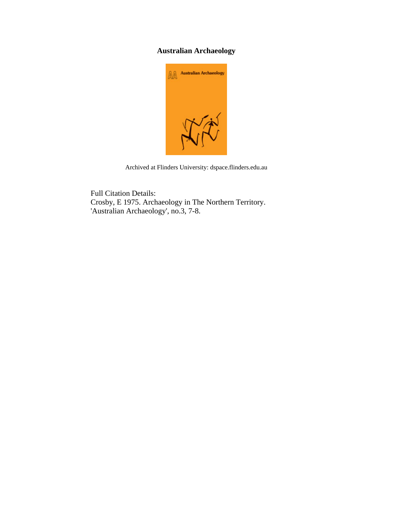# **Australian Archaeology**



Archived at Flinders University: dspace.flinders.edu.au

Full Citation Details: Crosby, E 1975. Archaeology in The Northern Territory. 'Australian Archaeology', no.3, 7-8.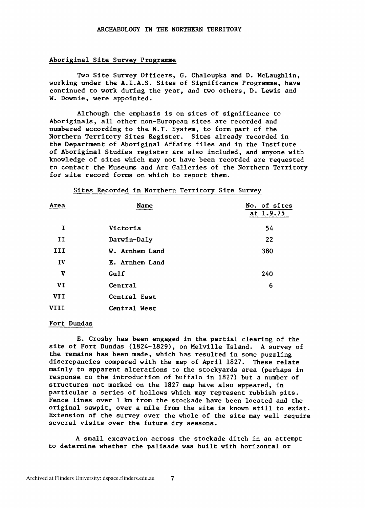#### Aboriginal Site Survey Programme

Two Site Survey Officers, G. Chaloupka and D. McLaughlin, working under the A.I.A.S. Sites of Significance Programme, have continued to work during the year, and two others, D. Lewis and W. Downie, were appointed.

Although the emphasis is on sites of significance to Aboriginals, all other non-European sites are recorded and numbered according to the N.T. System, to form part of the Northern Territory Sites Register. Sites already recorded in the Department of Aboriginal Affairs files and in the Institute of Aboriginal Studies register are also included, and anyone with knowledge of sites which may not have been recorded are requested to contact the Museums and Art Galleries of the Northern Territory for site record forms on which to report them.

### Sites Recorded in Northern Territory Site Survey

| Area       | Name           | No. of sites<br>at 1.9.75 |
|------------|----------------|---------------------------|
| I          | Victoria       | 54                        |
| II         | Darwin-Daly    | 22                        |
| III        | W. Arnhem Land | 380                       |
| IV         | E. Arnhem Land |                           |
| v          | Gulf           | 240                       |
| VI         | Central        | 6                         |
| <b>VII</b> | Central East   |                           |
| VIII       | Central West   |                           |

### Fort Dundas

E. Crosby has been engaged in the partial clearing of the site of Fort Dundas (1824-1829), on Melville Island. A survey of the remains has been made, which has resulted in some puzzling discrepancies compared with the map of April 1827. These relate mainly to apparent alterations to the stockyards area (perhaps in response to the introduction of buffalo in 1827) but a number of structures not marked on the 1827 map have also appeared, in particular a series of hollows which may represent rubbish pits. Fence lines over 1 km from the stockade have been located and the original sawpit, over a mile from the site is known still to exist. Extension of the survey over the whole of the site may well require several visits over the future **dry** seasons.

A small excavation across the stockade ditch in an attempt to determine whether the palisade was built with horizontal or